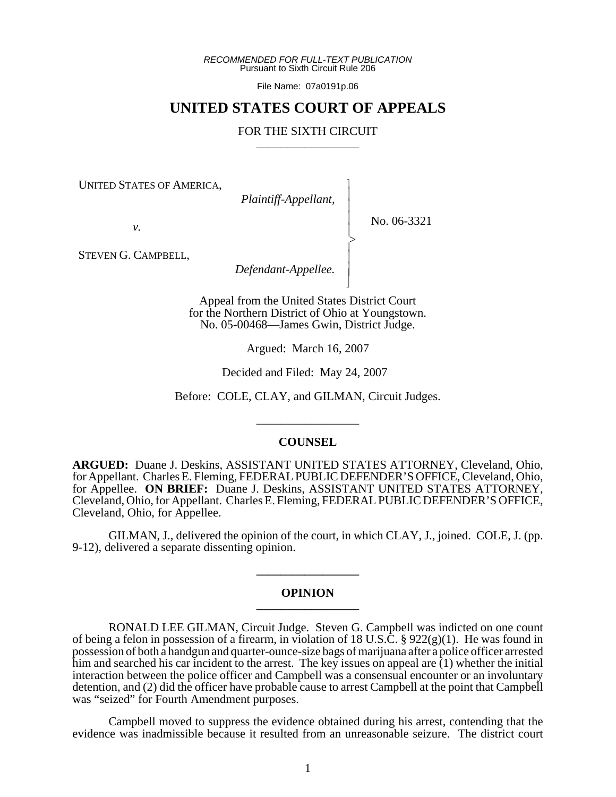*RECOMMENDED FOR FULL-TEXT PUBLICATION* Pursuant to Sixth Circuit Rule 206

File Name: 07a0191p.06

# **UNITED STATES COURT OF APPEALS**

### FOR THE SIXTH CIRCUIT

 $\overline{\phantom{a}}$ - - - -  $\succ$ |<br>|<br>| - - N

UNITED STATES OF AMERICA,

*Plaintiff-Appellant,*

No. 06-3321

*v.*

STEVEN G. CAMPBELL,

*Defendant-Appellee.*

Appeal from the United States District Court for the Northern District of Ohio at Youngstown. No. 05-00468—James Gwin, District Judge.

Argued: March 16, 2007

Decided and Filed: May 24, 2007

Before: COLE, CLAY, and GILMAN, Circuit Judges.

\_\_\_\_\_\_\_\_\_\_\_\_\_\_\_\_\_

#### **COUNSEL**

**ARGUED:** Duane J. Deskins, ASSISTANT UNITED STATES ATTORNEY, Cleveland, Ohio, for Appellant. Charles E. Fleming, FEDERAL PUBLIC DEFENDER'S OFFICE, Cleveland, Ohio, for Appellee. **ON BRIEF:** Duane J. Deskins, ASSISTANT UNITED STATES ATTORNEY, Cleveland, Ohio, for Appellant. Charles E. Fleming, FEDERAL PUBLIC DEFENDER'S OFFICE, Cleveland, Ohio, for Appellee.

GILMAN, J., delivered the opinion of the court, in which CLAY, J., joined. COLE, J. (pp. 9-12), delivered a separate dissenting opinion.

#### **OPINION \_\_\_\_\_\_\_\_\_\_\_\_\_\_\_\_\_**

**\_\_\_\_\_\_\_\_\_\_\_\_\_\_\_\_\_**

RONALD LEE GILMAN, Circuit Judge. Steven G. Campbell was indicted on one count of being a felon in possession of a firearm, in violation of 18 U.S.C. §  $922(g)(1)$ . He was found in possession of both a handgun and quarter-ounce-size bags of marijuana after a police officer arrested him and searched his car incident to the arrest. The key issues on appeal are  $(1)$  whether the initial interaction between the police officer and Campbell was a consensual encounter or an involuntary detention, and (2) did the officer have probable cause to arrest Campbell at the point that Campbell was "seized" for Fourth Amendment purposes.

Campbell moved to suppress the evidence obtained during his arrest, contending that the evidence was inadmissible because it resulted from an unreasonable seizure. The district court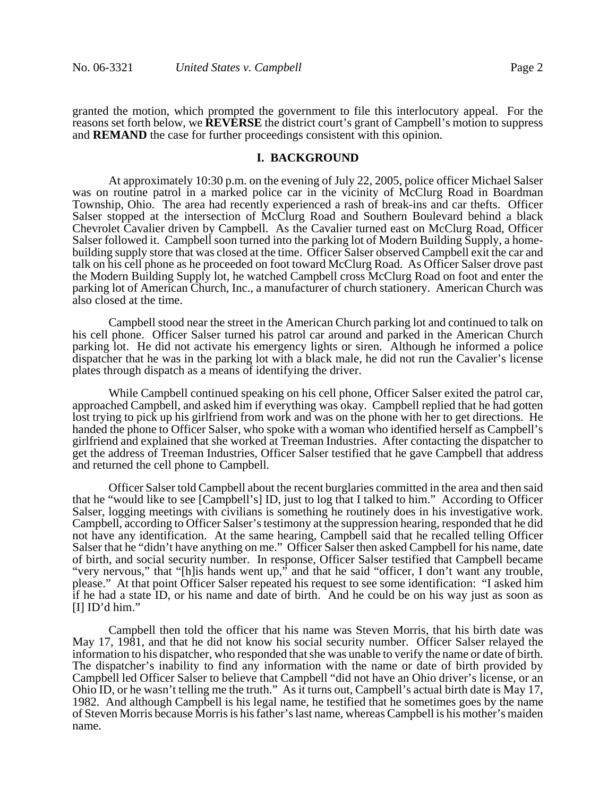granted the motion, which prompted the government to file this interlocutory appeal. For the reasons set forth below, we **REVERSE** the district court's grant of Campbell's motion to suppress and **REMAND** the case for further proceedings consistent with this opinion.

#### **I. BACKGROUND**

At approximately 10:30 p.m. on the evening of July 22, 2005, police officer Michael Salser was on routine patrol in a marked police car in the vicinity of McClurg Road in Boardman Township, Ohio. The area had recently experienced a rash of break-ins and car thefts. Officer Salser stopped at the intersection of McClurg Road and Southern Boulevard behind a black Chevrolet Cavalier driven by Campbell. As the Cavalier turned east on McClurg Road, Officer Salser followed it. Campbell soon turned into the parking lot of Modern Building Supply, a homebuilding supply store that was closed at the time. Officer Salser observed Campbell exit the car and talk on his cell phone as he proceeded on foot toward McClurg Road. As Officer Salser drove past the Modern Building Supply lot, he watched Campbell cross McClurg Road on foot and enter the parking lot of American Church, Inc., a manufacturer of church stationery. American Church was also closed at the time.

Campbell stood near the street in the American Church parking lot and continued to talk on his cell phone. Officer Salser turned his patrol car around and parked in the American Church parking lot. He did not activate his emergency lights or siren. Although he informed a police dispatcher that he was in the parking lot with a black male, he did not run the Cavalier's license plates through dispatch as a means of identifying the driver.

While Campbell continued speaking on his cell phone, Officer Salser exited the patrol car, approached Campbell, and asked him if everything was okay. Campbell replied that he had gotten lost trying to pick up his girlfriend from work and was on the phone with her to get directions. He handed the phone to Officer Salser, who spoke with a woman who identified herself as Campbell's girlfriend and explained that she worked at Treeman Industries. After contacting the dispatcher to get the address of Treeman Industries, Officer Salser testified that he gave Campbell that address and returned the cell phone to Campbell.

Officer Salser told Campbell about the recent burglaries committed in the area and then said that he "would like to see [Campbell's] ID, just to log that I talked to him." According to Officer Salser, logging meetings with civilians is something he routinely does in his investigative work. Campbell, according to Officer Salser's testimony at the suppression hearing, responded that he did not have any identification. At the same hearing, Campbell said that he recalled telling Officer Salser that he "didn't have anything on me." Officer Salser then asked Campbell for his name, date of birth, and social security number. In response, Officer Salser testified that Campbell became "very nervous," that "[h]is hands went up," and that he said "officer, I don't want any trouble, please." At that point Officer Salser repeated his request to see some identification: "I asked him if he had a state ID, or his name and date of birth. And he could be on his way just as soon as [I] ID'd him."

Campbell then told the officer that his name was Steven Morris, that his birth date was May 17, 1981, and that he did not know his social security number. Officer Salser relayed the information to his dispatcher, who responded that she was unable to verify the name or date of birth. The dispatcher's inability to find any information with the name or date of birth provided by Campbell led Officer Salser to believe that Campbell "did not have an Ohio driver's license, or an Ohio ID, or he wasn't telling me the truth." As it turns out, Campbell's actual birth date is May 17, 1982. And although Campbell is his legal name, he testified that he sometimes goes by the name of Steven Morris because Morris is his father's last name, whereas Campbell is his mother's maiden name.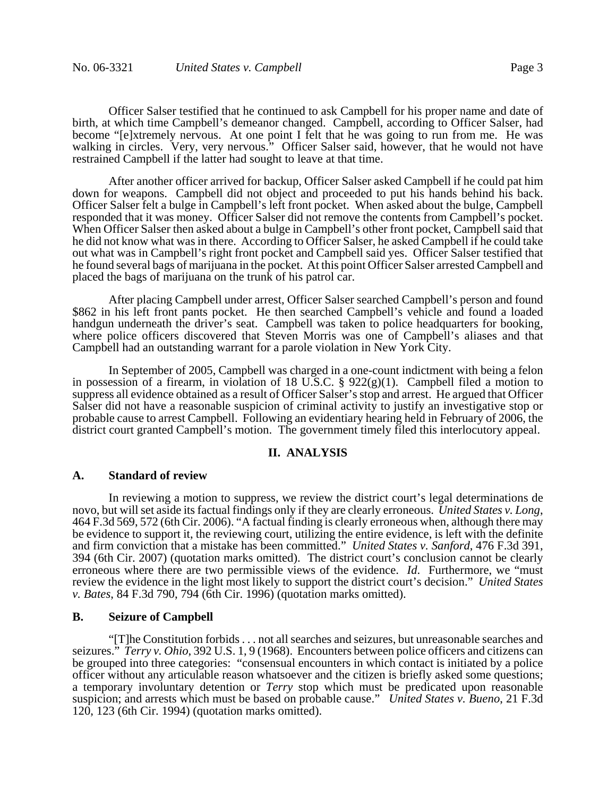Officer Salser testified that he continued to ask Campbell for his proper name and date of birth, at which time Campbell's demeanor changed. Campbell, according to Officer Salser, had become "[e]xtremely nervous. At one point I felt that he was going to run from me. He was walking in circles. Very, very nervous." Officer Salser said, however, that he would not have restrained Campbell if the latter had sought to leave at that time.

After another officer arrived for backup, Officer Salser asked Campbell if he could pat him down for weapons. Campbell did not object and proceeded to put his hands behind his back. Officer Salser felt a bulge in Campbell's left front pocket. When asked about the bulge, Campbell responded that it was money. Officer Salser did not remove the contents from Campbell's pocket. When Officer Salser then asked about a bulge in Campbell's other front pocket, Campbell said that he did not know what was in there. According to Officer Salser, he asked Campbell if he could take out what was in Campbell's right front pocket and Campbell said yes. Officer Salser testified that he found several bags of marijuana in the pocket. At this point Officer Salser arrested Campbell and placed the bags of marijuana on the trunk of his patrol car.

After placing Campbell under arrest, Officer Salser searched Campbell's person and found \$862 in his left front pants pocket. He then searched Campbell's vehicle and found a loaded handgun underneath the driver's seat. Campbell was taken to police headquarters for booking, where police officers discovered that Steven Morris was one of Campbell's aliases and that Campbell had an outstanding warrant for a parole violation in New York City.

In September of 2005, Campbell was charged in a one-count indictment with being a felon in possession of a firearm, in violation of 18 U.S.C. § 922(g)(1). Campbell filed a motion to suppress all evidence obtained as a result of Officer Salser's stop and arrest. He argued that Officer Salser did not have a reasonable suspicion of criminal activity to justify an investigative stop or probable cause to arrest Campbell. Following an evidentiary hearing held in February of 2006, the district court granted Campbell's motion. The government timely filed this interlocutory appeal.

#### **II. ANALYSIS**

#### **A. Standard of review**

In reviewing a motion to suppress, we review the district court's legal determinations de novo, but will set aside its factual findings only if they are clearly erroneous. United States v. Long, novo, but will set aside its factual findings only if they are clearly erroneous. *United States v. Long*, 464 F.3d 569, 572 (6th Cir. 2006). "A factual finding is clearly erroneous when, although there may be evidence to support it, the reviewing court, utilizing the entire evidence, is left with the definite and firm conviction that a mistake has been committed." *United States v. Sanford*, 476 F.3d 391, 394 (6th Cir. 2007) (quotation marks omitted). The district court's conclusion cannot be clearly erroneous where there are two permissible views of the evidence. *Id*. Furthermore, we "must review the evidence in the light most likely to support the district court's decision." *United States v. Bates*, 84 F.3d 790, 794 (6th Cir. 1996) (quotation marks omitted).

### **B. Seizure of Campbell**

"[T]he Constitution forbids . . . not all searches and seizures, but unreasonable searches and seizures." *Terry v. Ohio*, 392 U.S. 1, 9 (1968). Encounters between police officers and citizens can be grouped into three categories: "consensual encounters in which contact is initiated by a police officer without any articulable reason whatsoever and the citizen is briefly asked some questions; a temporary involuntary detention or *Terry* stop which must be predicated upon reasonable suspicion; and arrests which must be based on probable cause." *United States v. Bueno*, 21 F.3d 120, 123 (6th Cir. 1994) (quotation marks omitted).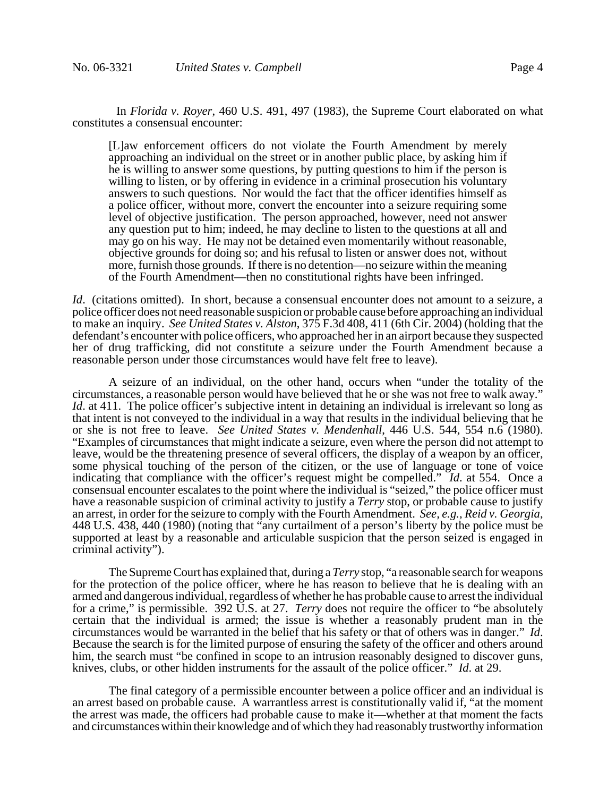In *Florida v. Royer*, 460 U.S. 491, 497 (1983), the Supreme Court elaborated on what constitutes a consensual encounter:

[L]aw enforcement officers do not violate the Fourth Amendment by merely approaching an individual on the street or in another public place, by asking him if he is willing to answer some questions, by putting questions to him if the person is willing to listen, or by offering in evidence in a criminal prosecution his voluntary answers to such questions. Nor would the fact that the officer identifies himself as a police officer, without more, convert the encounter into a seizure requiring some level of objective justification. The person approached, however, need not answer any question put to him; indeed, he may decline to listen to the questions at all and may go on his way. He may not be detained even momentarily without reasonable, objective grounds for doing so; and his refusal to listen or answer does not, without more, furnish those grounds. If there is no detention—no seizure within the meaning of the Fourth Amendment—then no constitutional rights have been infringed.

*Id.* (citations omitted). In short, because a consensual encounter does not amount to a seizure, a police officer does not need reasonable suspicion or probable cause before approaching an individual to make an inquiry. *See United States v. Alston*, 375 F.3d 408, 411 (6th Cir. 2004) (holding that the defendant's encounter with police officers, who approached her in an airport because they suspected her of drug trafficking, did not constitute a seizure under the Fourth Amendment because a reasonable person under those circumstances would have felt free to leave).

A seizure of an individual, on the other hand, occurs when "under the totality of the circumstances, a reasonable person would have believed that he or she was not free to walk away." *Id.* at 411. The police officer's subjective intent in detaining an individual is irrelevant so long as that intent is not conveyed to the individual in a way that results in the individual believing that he or she is not free to leave. *See United States v. Mendenhall*, 446 U.S. 544, 554 n.6 (1980). "Examples of circumstances that might indicate a seizure, even where the person did not attempt to leave, would be the threatening presence of several officers, the display of a weapon by an officer, some physical touching of the person of the citizen, or the use of language or tone of voice indicating that compliance with the officer's request might be compelled." *Id*. at 554. Once a consensual encounter escalates to the point where the individual is "seized," the police officer must have a reasonable suspicion of criminal activity to justify a *Terry* stop, or probable cause to justify an arrest, in order for the seizure to comply with the Fourth Amendment. See, e.g., Reid v. Georgia, 448 U.S. 438, 440 (1980) (noting that "any curtailment of a person's liberty by the police must be supported at least by a reasonable and articulable suspicion that the person seized is engaged in criminal activity").

The Supreme Court has explained that, during a *Terry* stop, "a reasonable search for weapons for the protection of the police officer, where he has reason to believe that he is dealing with an armed and dangerous individual, regardless of whether he has probable cause to arrest the individual for a crime," is permissible. 392 U.S. at 27. *Terry* does not require the officer to "be absolutely certain that the individual is armed; the issue is whether a reasonably prudent man in the circumstances would be warranted in the belief that his safety or that of others was in danger." *Id*. Because the search is for the limited purpose of ensuring the safety of the officer and others around him, the search must "be confined in scope to an intrusion reasonably designed to discover guns, knives, clubs, or other hidden instruments for the assault of the police officer." *Id*. at 29.

The final category of a permissible encounter between a police officer and an individual is an arrest based on probable cause. A warrantless arrest is constitutionally valid if, "at the moment the arrest was made, the officers had probable cause to make it—whether at that moment the facts and circumstances within their knowledge and of which they had reasonably trustworthy information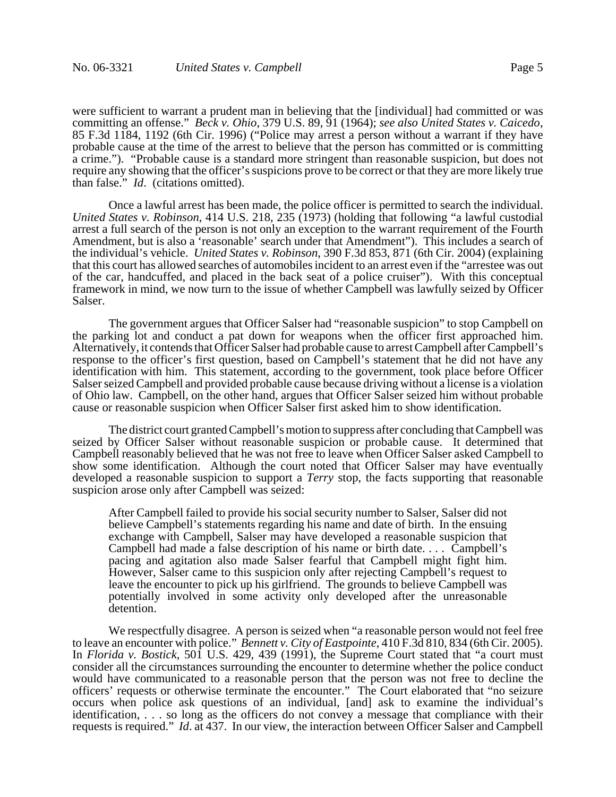were sufficient to warrant a prudent man in believing that the [individual] had committed or was committing an offense." *Beck v. Ohio*, 379 U.S. 89, 91 (1964); *see also United States v. Caicedo*, 85 F.3d 1184, 1192 (6th Cir. 1996) ("Police may arrest a person without a warrant if they have probable cause at the time of the arrest to believe that the person has committed or is committing a crime."). "Probable cause is a standard more stringent than reasonable suspicion, but does not require any showing that the officer's suspicions prove to be correct or that they are more likely true than false." *Id*. (citations omitted).

Once a lawful arrest has been made, the police officer is permitted to search the individual. *United States v. Robinson*, 414 U.S. 218, 235 (1973) (holding that following "a lawful custodial arrest a full search of the person is not only an exception to the warrant requirement of the Fourth Amendment, but is also a 'reasonable' search under that Amendment"). This includes a search of the individual's vehicle. *United States v. Robinson*, 390 F.3d 853, 871 (6th Cir. 2004) (explaining that this court has allowed searches of automobiles incident to an arrest even if the "arrestee was out of the car, handcuffed, and placed in the back seat of a police cruiser"). With this conceptual framework in mind, we now turn to the issue of whether Campbell was lawfully seized by Officer Salser.

The government argues that Officer Salser had "reasonable suspicion" to stop Campbell on the parking lot and conduct a pat down for weapons when the officer first approached him. Alternatively, it contends that Officer Salser had probable cause to arrest Campbell after Campbell's response to the officer's first question, based on Campbell's statement that he did not have any identification with him. This statement, according to the government, took place before Officer Salser seized Campbell and provided probable cause because driving without a license is a violation of Ohio law. Campbell, on the other hand, argues that Officer Salser seized him without probable cause or reasonable suspicion when Officer Salser first asked him to show identification.

The district court granted Campbell's motion to suppress after concluding that Campbell was seized by Officer Salser without reasonable suspicion or probable cause. It determined that Campbell reasonably believed that he was not free to leave when Officer Salser asked Campbell to show some identification. Although the court noted that Officer Salser may have eventually developed a reasonable suspicion to support a *Terry* stop, the facts supporting that reasonable suspicion arose only after Campbell was seized:

After Campbell failed to provide his social security number to Salser, Salser did not believe Campbell's statements regarding his name and date of birth. In the ensuing exchange with Campbell, Salser may have developed a reasonable suspicion that Campbell had made a false description of his name or birth date. . . . Campbell's pacing and agitation also made Salser fearful that Campbell might fight him. However, Salser came to this suspicion only after rejecting Campbell's request to leave the encounter to pick up his girlfriend. The grounds to believe Campbell was potentially involved in some activity only developed after the unreasonable detention.

We respectfully disagree. A person is seized when "a reasonable person would not feel free to leave an encounter with police." *Bennett v. City of Eastpointe*, 410 F.3d 810, 834 (6th Cir. 2005). In *Florida v. Bostick*, 501 U.S. 429, 439 (1991), the Supreme Court stated that "a court must consider all the circumstances surrounding the encounter to determine whether the police conduct would have communicated to a reasonable person that the person was not free to decline the officers' requests or otherwise terminate the encounter." The Court elaborated that "no seizure occurs when police ask questions of an individual, [and] ask to examine the individual's identification, . . . so long as the officers do not convey a message that compliance with their requests is required." *Id*. at 437. In our view, the interaction between Officer Salser and Campbell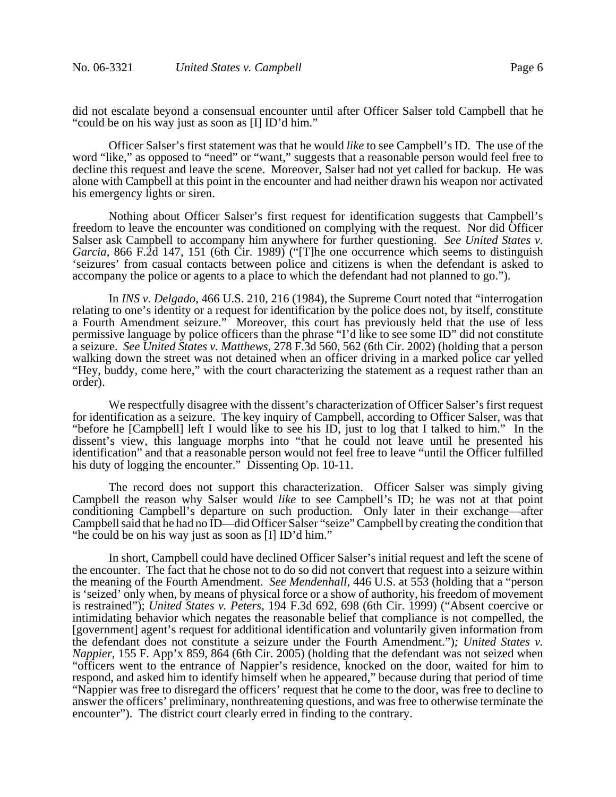did not escalate beyond a consensual encounter until after Officer Salser told Campbell that he "could be on his way just as soon as [I] ID'd him."

Officer Salser's first statement was that he would *like* to see Campbell's ID. The use of the word "like," as opposed to "need" or "want," suggests that a reasonable person would feel free to decline this request and leave the scene. Moreover, Salser had not yet called for backup. He was alone with Campbell at this point in the encounter and had neither drawn his weapon nor activated his emergency lights or siren.

Nothing about Officer Salser's first request for identification suggests that Campbell's freedom to leave the encounter was conditioned on complying with the request. Nor did Officer Salser ask Campbell to accompany him anywhere for further questioning. *See United States v. Garcia*, 866 F.2d 147, 151 (6th Cir. 1989) ("[T]he one occurrence which seems to distinguish 'seizures' from casual contacts between police and citizens is when the defendant is asked to accompany the police or agents to a place to which the defendant had not planned to go.").

In *INS v. Delgado*, 466 U.S. 210, 216 (1984), the Supreme Court noted that "interrogation relating to one's identity or a request for identification by the police does not, by itself, constitute a Fourth Amendment seizure." Moreover, this court has previously held that the use of less permissive language by police officers than the phrase "I'd like to see some ID" did not constitute a seizure. *See United States v. Matthews*, 278 F.3d 560, 562 (6th Cir. 2002) (holding that a person walking down the street was not detained when an officer driving in a marked police car yelled "Hey, buddy, come here," with the court characterizing the statement as a request rather than an order).

We respectfully disagree with the dissent's characterization of Officer Salser's first request for identification as a seizure. The key inquiry of Campbell, according to Officer Salser, was that "before he [Campbell] left I would like to see his ID, just to log that I talked to him." In the dissent's view, this language morphs into "that he could not leave until he presented his identification" and that a reasonable person would not feel free to leave "until the Officer fulfilled his duty of logging the encounter." Dissenting Op. 10-11.

The record does not support this characterization. Officer Salser was simply giving Campbell the reason why Salser would *like* to see Campbell's ID; he was not at that point conditioning Campbell's departure on such production. Only later in their exchange—after Campbell said that he had no ID—did Officer Salser "seize" Campbell by creating the condition that "he could be on his way just as soon as [I] ID'd him."

In short, Campbell could have declined Officer Salser's initial request and left the scene of the encounter. The fact that he chose not to do so did not convert that request into a seizure within the meaning of the Fourth Amendment. *See Mendenhall,* 446 U.S. at 553 (holding that a "person is 'seized' only when, by means of physical force or a show of authority, his freedom of movement is restrained"); *United States v. Peters*, 194 F.3d 692, 698 (6th Cir. 1999) ("Absent coercive or intimidating behavior which negates the reasonable belief that compliance is not compelled, the [government] agent's request for additional identification and voluntarily given information from the defendant does not constitute a seizure under the Fourth Amendment.")*; United States v. Nappier*, 155 F. App'x 859, 864 (6th Cir. 2005) (holding that the defendant was not seized when "officers went to the entrance of Nappier's residence, knocked on the door, waited for him to respond, and asked him to identify himself when he appeared," because during that period of time "Nappier was free to disregard the officers' request that he come to the door, was free to decline to answer the officers' preliminary, nonthreatening questions, and was free to otherwise terminate the encounter"). The district court clearly erred in finding to the contrary.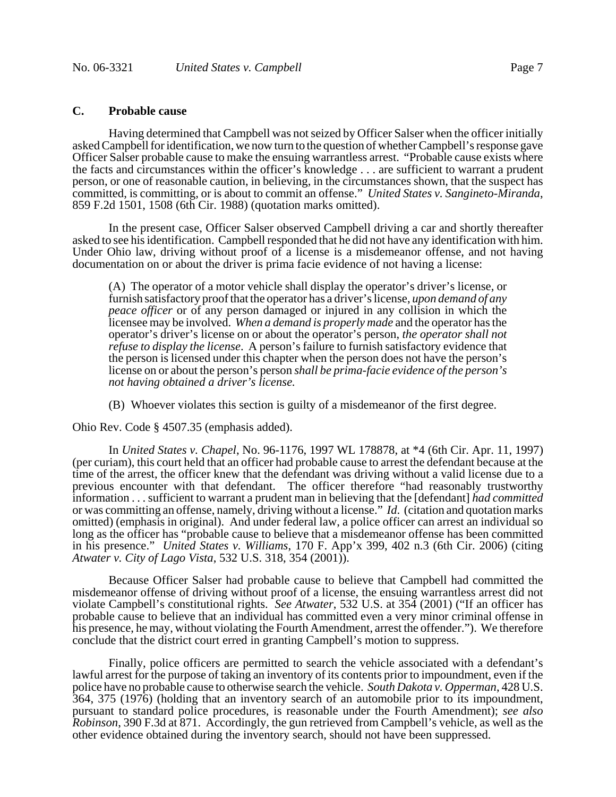## **C. Probable cause**

Having determined that Campbell was not seized by Officer Salser when the officer initially asked Campbell for identification, we now turn to the question of whether Campbell's response gave Officer Salser probable cause to make the ensuing warrantless arrest. "Probable cause exists where the facts and circumstances within the officer's knowledge . . . are sufficient to warrant a prudent person, or one of reasonable caution, in believing, in the circumstances shown, that the suspect has committed, is committing, or is about to commit an offense." *United States v. Sangineto-Miranda*, 859 F.2d 1501, 1508 (6th Cir. 1988) (quotation marks omitted).

In the present case, Officer Salser observed Campbell driving a car and shortly thereafter asked to see his identification. Campbell responded that he did not have any identification with him. Under Ohio law, driving without proof of a license is a misdemeanor offense, and not having documentation on or about the driver is prima facie evidence of not having a license:

(A) The operator of a motor vehicle shall display the operator's driver's license, or furnish satisfactory proof that the operator has a driver's license, *upon demand of any peace officer* or of any person damaged or injured in any collision in which the licensee may be involved. *When a demand is properly made* and the operator has the operator's driver's license on or about the operator's person, *the operator shall not refuse to display the license*. A person's failure to furnish satisfactory evidence that the person is licensed under this chapter when the person does not have the person's license on or about the person's person *shall be prima-facie evidence of the person's not having obtained a driver's license.*

(B) Whoever violates this section is guilty of a misdemeanor of the first degree.

Ohio Rev. Code § 4507.35 (emphasis added).

In *United States v. Chapel*, No. 96-1176, 1997 WL 178878, at \*4 (6th Cir. Apr. 11, 1997) (per curiam), this court held that an officer had probable cause to arrest the defendant because at the time of the arrest, the officer knew that the defendant was driving without a valid license due to a previous encounter with that defendant. The officer therefore "had reasonably trustworthy information . . . sufficient to warrant a prudent man in believing that the [defendant] *had committed* or was committing an offense, namely, driving without a license." *Id*. (citation and quotation marks omitted) (emphasis in original). And under federal law, a police officer can arrest an individual so long as the officer has "probable cause to believe that a misdemeanor offense has been committed in his presence." *United States v. Williams*, 170 F. App'x 399, 402 n.3 (6th Cir. 2006) (citing *Atwater v. City of Lago Vista*, 532 U.S. 318, 354 (2001)).

Because Officer Salser had probable cause to believe that Campbell had committed the misdemeanor offense of driving without proof of a license, the ensuing warrantless arrest did not violate Campbell's constitutional rights. *See Atwater*, 532 U.S. at 354 (2001) ("If an officer has probable cause to believe that an individual has committed even a very minor criminal offense in his presence, he may, without violating the Fourth Amendment, arrest the offender."). We therefore conclude that the district court erred in granting Campbell's motion to suppress.

Finally, police officers are permitted to search the vehicle associated with a defendant's lawful arrest for the purpose of taking an inventory of its contents prior to impoundment, even if the police have no probable cause to otherwise search the vehicle. *South Dakota v. Opperman*, 428 U.S. 364, 375 (1976) (holding that an inventory search of an automobile prior to its impoundment, pursuant to standard police procedures, is reasonable under the Fourth Amendment); *see also Robinson*, 390 F.3d at 871. Accordingly, the gun retrieved from Campbell's vehicle, as well as the other evidence obtained during the inventory search, should not have been suppressed.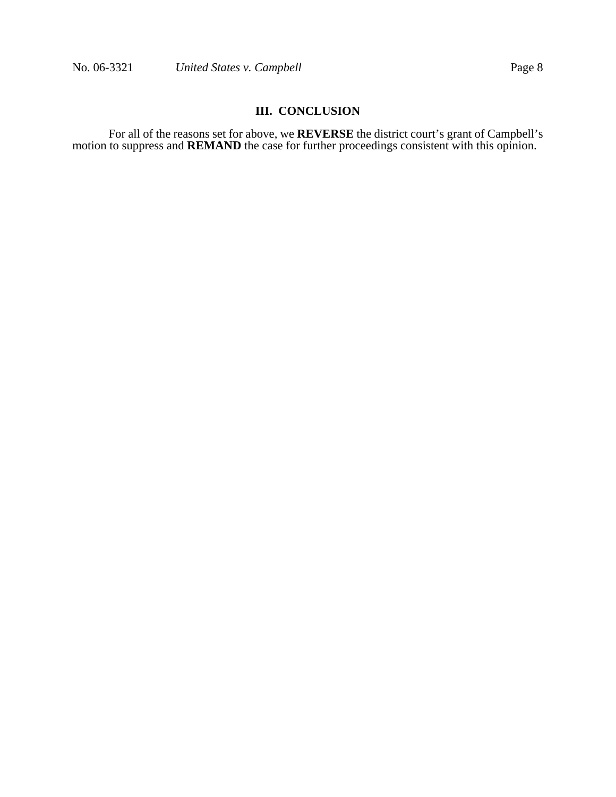# **III. CONCLUSION**

For all of the reasons set for above, we **REVERSE** the district court's grant of Campbell's motion to suppress and **REMAND** the case for further proceedings consistent with this opinion.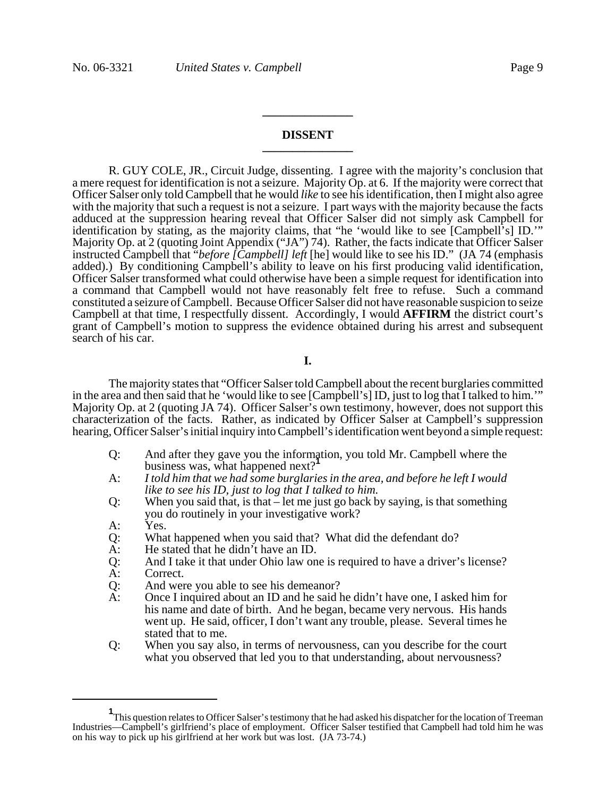### **DISSENT \_\_\_\_\_\_\_\_\_\_\_\_\_\_\_**

**\_\_\_\_\_\_\_\_\_\_\_\_\_\_\_**

R. GUY COLE, JR., Circuit Judge, dissenting. I agree with the majority's conclusion that a mere request for identification is not a seizure. Majority Op. at 6. If the majority were correct that Officer Salser only told Campbell that he would *like* to see his identification, then I might also agree with the majority that such a request is not a seizure. I part ways with the majority because the facts adduced at the suppression hearing reveal that Officer Salser did not simply ask Campbell for identification by stating, as the majority claims, that "he 'would like to see [Campbell's] ID.'" Majority Op. at 2 (quoting Joint Appendix ("JA") 74). Rather, the facts indicate that Officer Salser instructed Campbell that "*before [Campbell] left* [he] would like to see his ID." (JA 74 (emphasis added).) By conditioning Campbell's ability to leave on his first producing valid identification, Officer Salser transformed what could otherwise have been a simple request for identification into a command that Campbell would not have reasonably felt free to refuse. Such a command constituted a seizure of Campbell. Because Officer Salser did not have reasonable suspicion to seize Campbell at that time, I respectfully dissent. Accordingly, I would **AFFIRM** the district court's grant of Campbell's motion to suppress the evidence obtained during his arrest and subsequent search of his car.

### **I.**

The majority states that "Officer Salser told Campbell about the recent burglaries committed in the area and then said that he 'would like to see [Campbell's] ID, just to log that I talked to him.'" Majority Op. at 2 (quoting JA 74). Officer Salser's own testimony, however, does not support this characterization of the facts. Rather, as indicated by Officer Salser at Campbell's suppression hearing, Officer Salser's initial inquiry into Campbell's identification went beyond a simple request:

- Q: And after they gave you the information, you told Mr. Campbell where the business was, what happened next?**<sup>1</sup>**
- A: *I told him that we had some burglaries in the area, and before he left I would like to see his ID, just to log that I talked to him.*
- Q: When you said that, is that let me just go back by saying, is that something you do routinely in your investigative work?
- A: Yes.
- Q: What happened when you said that? What did the defendant do?
- 
- A: He stated that he didn't have an ID.<br>Q: And I take it that under Ohio law on Q: And I take it that under Ohio law one is required to have a driver's license?
- Correct.
- Q: And were you able to see his demeanor?<br>A: Once I inquired about an ID and he said h
- Once I inquired about an ID and he said he didn't have one, I asked him for his name and date of birth. And he began, became very nervous. His hands went up. He said, officer, I don't want any trouble, please. Several times he stated that to me.
- Q: When you say also, in terms of nervousness, can you describe for the court what you observed that led you to that understanding, about nervousness?

**<sup>1</sup>** This question relates to Officer Salser's testimony that he had asked his dispatcher for the location of Treeman Industries—Campbell's girlfriend's place of employment. Officer Salser testified that Campbell had told him he was on his way to pick up his girlfriend at her work but was lost. (JA 73-74.)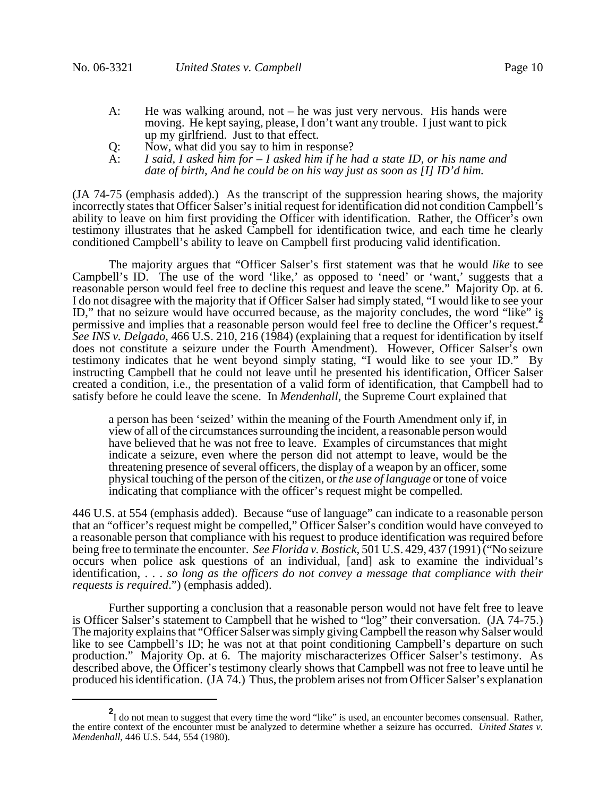- A: He was walking around, not he was just very nervous. His hands were moving. He kept saying, please, I don't want any trouble. I just want to pick up my girlfriend. Just to that effect.
- Q: Now, what did you say to him in response?<br>A: I said, I asked him for  $-I$  asked him if he h
- A: *I said, I asked him for I asked him if he had a state ID, or his name and date of birth, And he could be on his way just as soon as [I] ID'd him.*

(JA 74-75 (emphasis added).) As the transcript of the suppression hearing shows, the majority incorrectly states that Officer Salser's initial request for identification did not condition Campbell's ability to leave on him first providing the Officer with identification. Rather, the Officer's own testimony illustrates that he asked Campbell for identification twice, and each time he clearly conditioned Campbell's ability to leave on Campbell first producing valid identification.

The majority argues that "Officer Salser's first statement was that he would *like* to see Campbell's ID. The use of the word 'like,' as opposed to 'need' or 'want,' suggests that a reasonable person would feel free to decline this request and leave the scene." Majority Op. at 6. I do not disagree with the majority that if Officer Salser had simply stated, "I would like to see your ID," that no seizure would have occurred because, as the majority concludes, the word "like" is permissive and implies that a reasonable person would feel free to decline the Officer's request.**<sup>2</sup>** *See INS v. Delgado*, 466 U.S. 210, 216 (1984) (explaining that a request for identification by itself does not constitute a seizure under the Fourth Amendment). However, Officer Salser's own testimony indicates that he went beyond simply stating, "I would like to see your ID." By instructing Campbell that he could not leave until he presented his identification, Officer Salser created a condition, i.e., the presentation of a valid form of identification, that Campbell had to satisfy before he could leave the scene. In *Mendenhall*, the Supreme Court explained that

a person has been 'seized' within the meaning of the Fourth Amendment only if, in view of all of the circumstances surrounding the incident, a reasonable person would have believed that he was not free to leave. Examples of circumstances that might indicate a seizure, even where the person did not attempt to leave, would be the threatening presence of several officers, the display of a weapon by an officer, some physical touching of the person of the citizen, or *the use of language* or tone of voice indicating that compliance with the officer's request might be compelled.

446 U.S. at 554 (emphasis added). Because "use of language" can indicate to a reasonable person that an "officer's request might be compelled," Officer Salser's condition would have conveyed to a reasonable person that compliance with his request to produce identification was required before being free to terminate the encounter. *See Florida v. Bostick*, 501 U.S. 429, 437 (1991) ("No seizure occurs when police ask questions of an individual, [and] ask to examine the individual's identification, . . . *so long as the officers do not convey a message that compliance with their requests is required*.") (emphasis added).

Further supporting a conclusion that a reasonable person would not have felt free to leave is Officer Salser's statement to Campbell that he wished to "log" their conversation. (JA 74-75.) The majority explains that "Officer Salser was simply giving Campbell the reason why Salser would like to see Campbell's ID; he was not at that point conditioning Campbell's departure on such production." Majority Op. at 6. The majority mischaracterizes Officer Salser's testimony. As described above, the Officer's testimony clearly shows that Campbell was not free to leave until he produced his identification. (JA 74.) Thus, the problem arises not from Officer Salser's explanation

**<sup>2</sup>** I do not mean to suggest that every time the word "like" is used, an encounter becomes consensual. Rather, the entire context of the encounter must be analyzed to determine whether a seizure has occurred. *United States v. Mendenhall*, 446 U.S. 544, 554 (1980).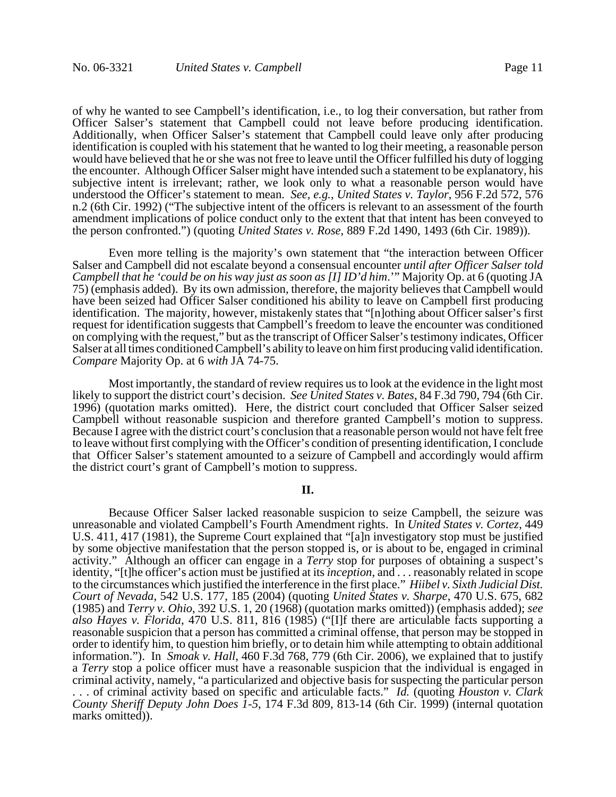of why he wanted to see Campbell's identification, i.e., to log their conversation, but rather from Officer Salser's statement that Campbell could not leave before producing identification. Additionally, when Officer Salser's statement that Campbell could leave only after producing identification is coupled with his statement that he wanted to log their meeting, a reasonable person would have believed that he or she was not free to leave until the Officer fulfilled his duty of logging the encounter. Although Officer Salser might have intended such a statement to be explanatory, his subjective intent is irrelevant; rather, we look only to what a reasonable person would have understood the Officer's statement to mean. *See, e.g.*, *United States v. Taylor*, 956 F.2d 572, 576 n.2 (6th Cir. 1992) ("The subjective intent of the officers is relevant to an assessment of the fourth amendment implications of police conduct only to the extent that that intent has been conveyed to the person confronted.") (quoting *United States v. Rose*, 889 F.2d 1490, 1493 (6th Cir. 1989)).

Even more telling is the majority's own statement that "the interaction between Officer Salser and Campbell did not escalate beyond a consensual encounter *until after Officer Salser told Campbell that he 'could be on his way just as soon as [I] ID'd him*.'" Majority Op. at 6 (quoting JA 75) (emphasis added). By its own admission, therefore, the majority believes that Campbell would have been seized had Officer Salser conditioned his ability to leave on Campbell first producing identification. The majority, however, mistakenly states that "[n]othing about Officer salser's first request for identification suggests that Campbell's freedom to leave the encounter was conditioned on complying with the request," but as the transcript of Officer Salser's testimony indicates, Officer Salser at all times conditioned Campbell's ability to leave on him first producing valid identification. *Compare* Majority Op. at 6 *with* JA 74-75.

Most importantly, the standard of review requires us to look at the evidence in the light most likely to support the district court's decision. *See United States v. Bates*, 84 F.3d 790, 794 (6th Cir. 1996) (quotation marks omitted). Here, the district court concluded that Officer Salser seized Campbell without reasonable suspicion and therefore granted Campbell's motion to suppress. Because I agree with the district court's conclusion that a reasonable person would not have felt free to leave without first complying with the Officer's condition of presenting identification, I conclude that Officer Salser's statement amounted to a seizure of Campbell and accordingly would affirm the district court's grant of Campbell's motion to suppress.

### **II.**

Because Officer Salser lacked reasonable suspicion to seize Campbell, the seizure was unreasonable and violated Campbell's Fourth Amendment rights. In *United States v. Cortez*, 449 U.S. 411, 417 (1981), the Supreme Court explained that "[a]n investigatory stop must be justified by some objective manifestation that the person stopped is, or is about to be, engaged in criminal activity." Although an officer can engage in a *Terry* stop for purposes of obtaining a suspect's identity, "[t]he officer's action must be justified at its *inception*, and . . . reasonably related in scope to the circumstances which justified the interference in the first place." *Hiibel v. Sixth Judicial Dist. Court of Nevada*, 542 U.S. 177, 185 (2004) (quoting *United States v. Sharpe*, 470 U.S. 675, 682 (1985) and *Terry v. Ohio*, 392 U.S. 1, 20 (1968) (quotation marks omitted)) (emphasis added); *see also Hayes v. Florida*, 470 U.S. 811, 816 (1985) ("[I]f there are articulable facts supporting a reasonable suspicion that a person has committed a criminal offense, that person may be stopped in order to identify him, to question him briefly, or to detain him while attempting to obtain additional information."). In *Smoak v. Hall*, 460 F.3d 768, 779 (6th Cir. 2006), we explained that to justify a *Terry* stop a police officer must have a reasonable suspicion that the individual is engaged in criminal activity, namely, "a particularized and objective basis for suspecting the particular person . . . of criminal activity based on specific and articulable facts." *Id.* (quoting *Houston v. Clark County Sheriff Deputy John Does 1-5*, 174 F.3d 809, 813-14 (6th Cir. 1999) (internal quotation marks omitted)).